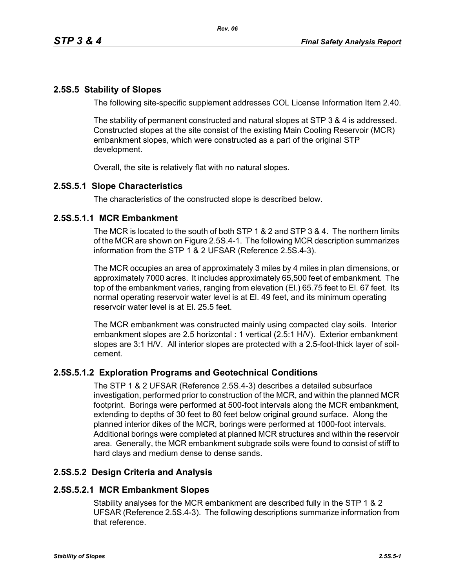# **2.5S.5 Stability of Slopes**

The following site-specific supplement addresses COL License Information Item 2.40.

The stability of permanent constructed and natural slopes at STP 3 & 4 is addressed. Constructed slopes at the site consist of the existing Main Cooling Reservoir (MCR) embankment slopes, which were constructed as a part of the original STP development.

Overall, the site is relatively flat with no natural slopes.

### **2.5S.5.1 Slope Characteristics**

The characteristics of the constructed slope is described below.

### **2.5S.5.1.1 MCR Embankment**

The MCR is located to the south of both STP 1 & 2 and STP 3 & 4. The northern limits of the MCR are shown on Figure 2.5S.4-1. The following MCR description summarizes information from the STP 1 & 2 UFSAR (Reference 2.5S.4-3).

The MCR occupies an area of approximately 3 miles by 4 miles in plan dimensions, or approximately 7000 acres. It includes approximately 65,500 feet of embankment. The top of the embankment varies, ranging from elevation (El.) 65.75 feet to El. 67 feet. Its normal operating reservoir water level is at El. 49 feet, and its minimum operating reservoir water level is at El. 25.5 feet.

The MCR embankment was constructed mainly using compacted clay soils. Interior embankment slopes are 2.5 horizontal : 1 vertical (2.5:1 H/V). Exterior embankment slopes are 3:1 H/V. All interior slopes are protected with a 2.5-foot-thick layer of soilcement.

### **2.5S.5.1.2 Exploration Programs and Geotechnical Conditions**

The STP 1 & 2 UFSAR (Reference 2.5S.4-3) describes a detailed subsurface investigation, performed prior to construction of the MCR, and within the planned MCR footprint. Borings were performed at 500-foot intervals along the MCR embankment, extending to depths of 30 feet to 80 feet below original ground surface. Along the planned interior dikes of the MCR, borings were performed at 1000-foot intervals. Additional borings were completed at planned MCR structures and within the reservoir area. Generally, the MCR embankment subgrade soils were found to consist of stiff to hard clays and medium dense to dense sands.

### **2.5S.5.2 Design Criteria and Analysis**

### **2.5S.5.2.1 MCR Embankment Slopes**

Stability analyses for the MCR embankment are described fully in the STP 1 & 2 UFSAR (Reference 2.5S.4-3). The following descriptions summarize information from that reference.